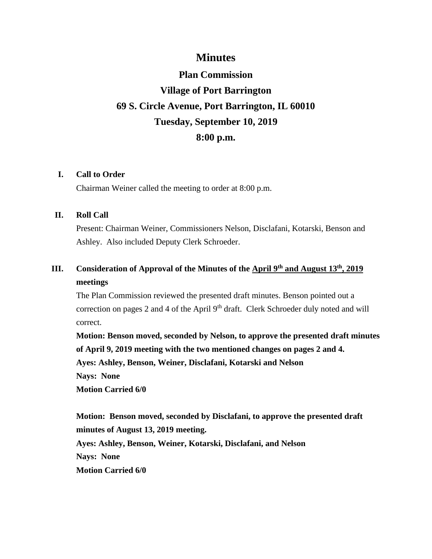### **Minutes**

# **Plan Commission Village of Port Barrington 69 S. Circle Avenue, Port Barrington, IL 60010 Tuesday, September 10, 2019 8:00 p.m.**

### **I. Call to Order**

Chairman Weiner called the meeting to order at 8:00 p.m.

### **II. Roll Call**

Present: Chairman Weiner, Commissioners Nelson, Disclafani, Kotarski, Benson and Ashley. Also included Deputy Clerk Schroeder.

## **III. Consideration of Approval of the Minutes of the April 9th and August 13th, 2019 meetings**

The Plan Commission reviewed the presented draft minutes. Benson pointed out a correction on pages 2 and 4 of the April 9<sup>th</sup> draft. Clerk Schroeder duly noted and will correct.

**Motion: Benson moved, seconded by Nelson, to approve the presented draft minutes of April 9, 2019 meeting with the two mentioned changes on pages 2 and 4. Ayes: Ashley, Benson, Weiner, Disclafani, Kotarski and Nelson Nays: None Motion Carried 6/0**

**Motion: Benson moved, seconded by Disclafani, to approve the presented draft minutes of August 13, 2019 meeting. Ayes: Ashley, Benson, Weiner, Kotarski, Disclafani, and Nelson Nays: None Motion Carried 6/0**